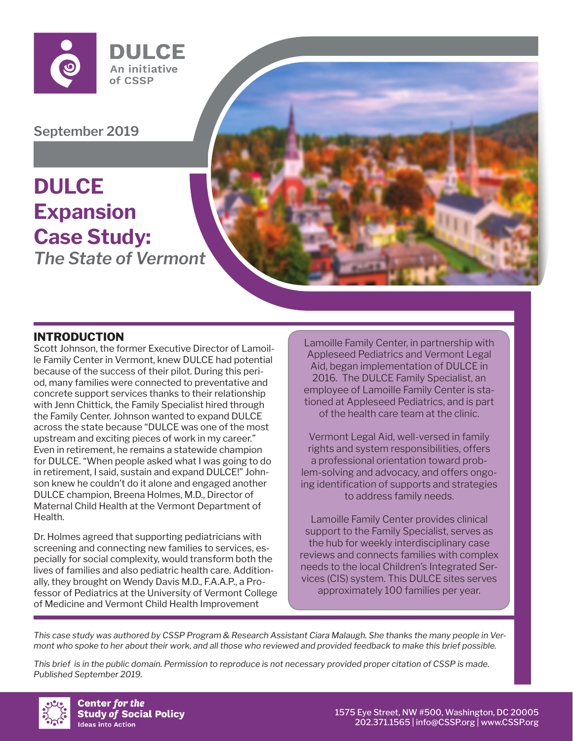

**September 2019**

# *The State of Vermont* **DULCE Expansion Case Study:**



### **INTRODUCTION**

Scott Johnson, the former Executive Director of Lamoille Family Center in Vermont, knew DULCE had potential because of the success of their pilot. During this period, many families were connected to preventative and concrete support services thanks to their relationship with Jenn Chittick, the Family Specialist hired through the Family Center. Johnson wanted to expand DULCE across the state because "DULCE was one of the most upstream and exciting pieces of work in my career." Even in retirement, he remains a statewide champion for DULCE. "When people asked what I was going to do in retirement, I said, sustain and expand DULCE!" Johnson knew he couldn't do it alone and engaged another DULCE champion, Breena Holmes, M.D., Director of Maternal Child Health at the Vermont Department of Health.

Dr. Holmes agreed that supporting pediatricians with screening and connecting new families to services, especially for social complexity, would transform both the lives of families and also pediatric health care. Additionally, they brought on Wendy Davis M.D., F.A.A.P., a Professor of Pediatrics at the University of Vermont College of Medicine and Vermont Child Health Improvement

Lamoille Family Center, in partnership with Appleseed Pediatrics and Vermont Legal Aid, began implementation of DULCE in 2016. The DULCE Family Specialist, an employee of Lamoille Family Center is stationed at Appleseed Pediatrics, and is part of the health care team at the clinic.

Vermont Legal Aid, well-versed in family rights and system responsibilities, offers a professional orientation toward problem-solving and advocacy, and offers ongoing identification of supports and strategies to address family needs.

Lamoille Family Center provides clinical support to the Family Specialist, serves as the hub for weekly interdisciplinary case reviews and connects families with complex needs to the local Children's Integrated Services (CIS) system. This DULCE sites serves approximately 100 families per year.

*This case study was authored by CSSP Program & Research Assistant Ciara Malaugh. She thanks the many people in Vermont who spoke to her about their work, and all those who reviewed and provided feedback to make this brief possible.*

*This brief is in the public domain. Permission to reproduce is not necessary provided proper citation of CSSP is made. Published September 2019.*



**Center for the Study of Social Policy Ideas into Action**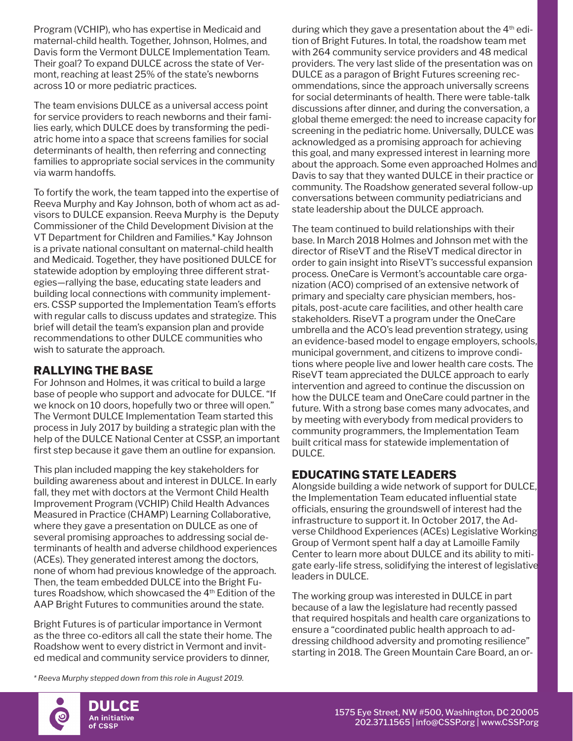Program (VCHIP), who has expertise in Medicaid and maternal-child health. Together, Johnson, Holmes, and Davis form the Vermont DULCE Implementation Team. Their goal? To expand DULCE across the state of Vermont, reaching at least 25% of the state's newborns across 10 or more pediatric practices.

The team envisions DULCE as a universal access point for service providers to reach newborns and their families early, which DULCE does by transforming the pediatric home into a space that screens families for social determinants of health, then referring and connecting families to appropriate social services in the community via warm handoffs.

To fortify the work, the team tapped into the expertise of Reeva Murphy and Kay Johnson, both of whom act as advisors to DULCE expansion. Reeva Murphy is the Deputy Commissioner of the Child Development Division at the VT Department for Children and Families.\* Kay Johnson is a private national consultant on maternal-child health and Medicaid. Together, they have positioned DULCE for statewide adoption by employing three different strategies—rallying the base, educating state leaders and building local connections with community implementers. CSSP supported the Implementation Team's efforts with regular calls to discuss updates and strategize. This brief will detail the team's expansion plan and provide recommendations to other DULCE communities who wish to saturate the approach.

## **RALLYING THE BASE**

For Johnson and Holmes, it was critical to build a large base of people who support and advocate for DULCE. "If we knock on 10 doors, hopefully two or three will open." The Vermont DULCE Implementation Team started this process in July 2017 by building a strategic plan with the help of the DULCE National Center at CSSP, an important first step because it gave them an outline for expansion.

This plan included mapping the key stakeholders for building awareness about and interest in DULCE. In early fall, they met with doctors at the Vermont Child Health Improvement Program (VCHIP) Child Health Advances Measured in Practice (CHAMP) Learning Collaborative, where they gave a presentation on DULCE as one of several promising approaches to addressing social determinants of health and adverse childhood experiences (ACEs). They generated interest among the doctors, none of whom had previous knowledge of the approach. Then, the team embedded DULCE into the Bright Futures Roadshow, which showcased the 4<sup>th</sup> Edition of the AAP Bright Futures to communities around the state.

Bright Futures is of particular importance in Vermont as the three co-editors all call the state their home. The Roadshow went to every district in Vermont and invited medical and community service providers to dinner,

*\* Reeva Murphy stepped down from this role in August 2019.*

during which they gave a presentation about the  $4<sup>th</sup>$  edition of Bright Futures. In total, the roadshow team met with 264 community service providers and 48 medical providers. The very last slide of the presentation was on DULCE as a paragon of Bright Futures screening recommendations, since the approach universally screens for social determinants of health. There were table-talk discussions after dinner, and during the conversation, a global theme emerged: the need to increase capacity for screening in the pediatric home. Universally, DULCE was acknowledged as a promising approach for achieving this goal, and many expressed interest in learning more about the approach. Some even approached Holmes and Davis to say that they wanted DULCE in their practice or community. The Roadshow generated several follow-up conversations between community pediatricians and state leadership about the DULCE approach.

The team continued to build relationships with their base. In March 2018 Holmes and Johnson met with the director of RiseVT and the RiseVT medical director in order to gain insight into RiseVT's successful expansion process. OneCare is Vermont's accountable care organization (ACO) comprised of an extensive network of primary and specialty care physician members, hospitals, post-acute care facilities, and other health care stakeholders. RiseVT a program under the OneCare umbrella and the ACO's lead prevention strategy, using an evidence-based model to engage employers, schools, municipal government, and citizens to improve conditions where people live and lower health care costs. The RiseVT team appreciated the DULCE approach to early intervention and agreed to continue the discussion on how the DULCE team and OneCare could partner in the future. With a strong base comes many advocates, and by meeting with everybody from medical providers to community programmers, the Implementation Team built critical mass for statewide implementation of DULCE.

### **EDUCATING STATE LEADERS**

Alongside building a wide network of support for DULCE, the Implementation Team educated influential state officials, ensuring the groundswell of interest had the infrastructure to support it. In October 2017, the Adverse Childhood Experiences (ACEs) Legislative Working Group of Vermont spent half a day at Lamoille Family Center to learn more about DULCE and its ability to mitigate early-life stress, solidifying the interest of legislative leaders in DULCE.

The working group was interested in DULCE in part because of a law the legislature had recently passed that required hospitals and health care organizations to ensure a "coordinated public health approach to addressing childhood adversity and promoting resilience" starting in 2018. The Green Mountain Care Board, an or-